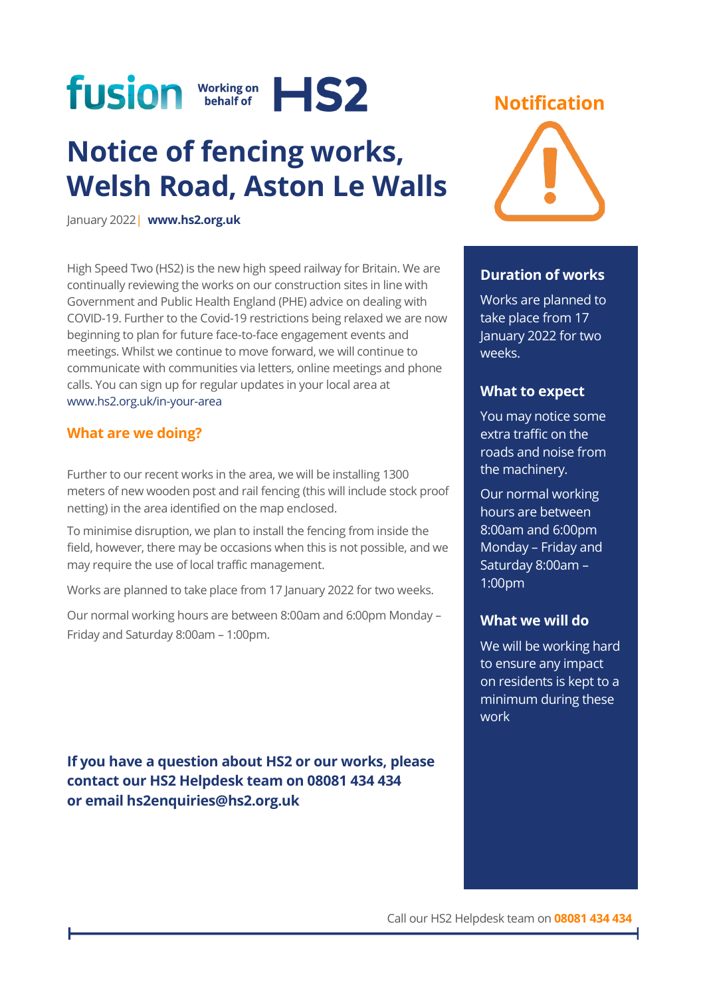

# **Notice of fencing works, Welsh Road, Aston Le Walls**

January 2022| **[www.hs2.org.uk](http://www.hs2.org.uk/)**

High Speed Two (HS2) is the new high speed railway for Britain. We are continually reviewing the works on our construction sites in line with Government and Public Health England (PHE) advice on dealing with COVID-19. Further to the Covid-19 restrictions being relaxed we are now beginning to plan for future face-to-face engagement events and meetings. Whilst we continue to move forward, we will continue to communicate with communities via letters, online meetings and phone calls. You can sign up for regular updates in your local area at [www.hs2.org.uk/in-your-area](http://www.hs2.org.uk/in-your-area)

### **What are we doing?**

Further to our recent works in the area, we will be installing 1300 meters of new wooden post and rail fencing (this will include stock proof netting) in the area identified on the map enclosed.

To minimise disruption, we plan to install the fencing from inside the field, however, there may be occasions when this is not possible, and we may require the use of local traffic management.

Works are planned to take place from 17 January 2022 for two weeks.

Our normal working hours are between 8:00am and 6:00pm Monday – Friday and Saturday 8:00am – 1:00pm.

**If you have a question about HS2 or our works, please contact our HS2 Helpdesk team on 08081 434 434 or email hs2enquiries@hs2.org.uk**

### **Notification**



### **Duration of works**

Works are planned to take place from 17 January 2022 for two weeks.

### **What to expect**

You may notice some extra traffic on the roads and noise from the machinery.

Our normal working hours are between 8:00am and 6:00pm Monday – Friday and Saturday 8:00am – 1:00pm

### **What we will do**

We will be working hard to ensure any impact on residents is kept to a minimum during these work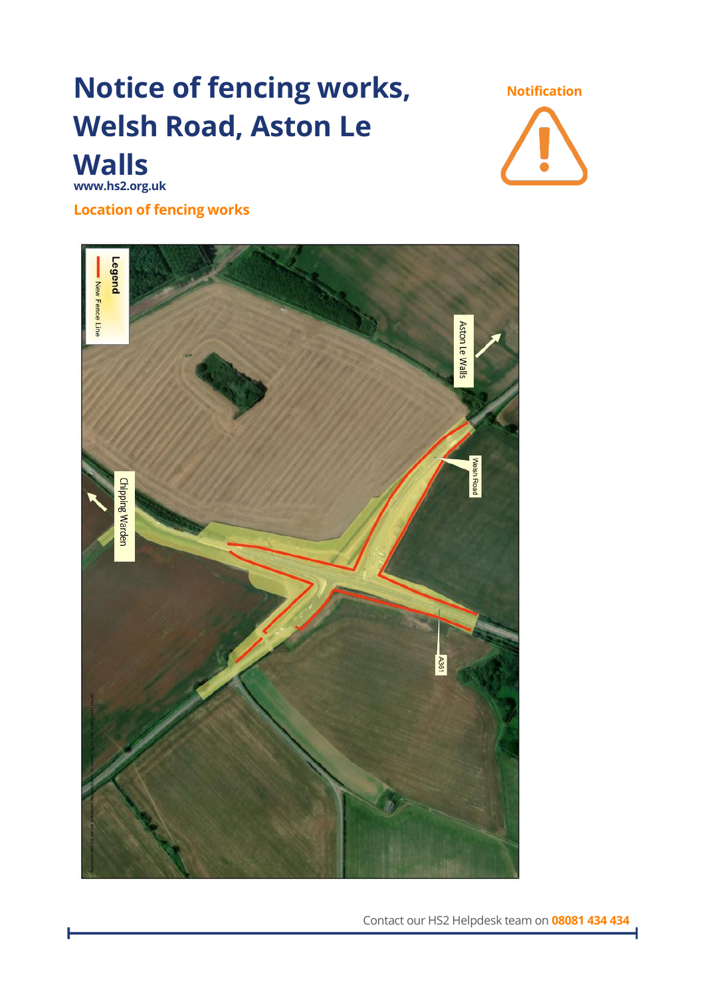# **Notice of fencing works, Welsh Road, Aston Le Walls**

**Notification**

**www.hs2.org.uk**

**Location of fencing works** 



Contact our HS2 Helpdesk team on **08081 434 434**